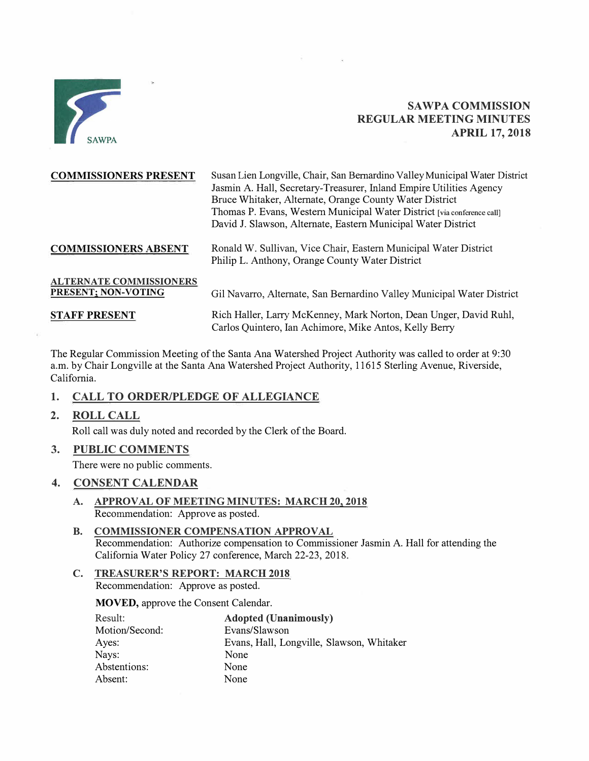

# **SAWPA COMMISSION REGULAR MEETING MINUTES APRIL 17, 2018**

| <b>COMMISSIONERS PRESENT</b>   | Susan Lien Longville, Chair, San Bernardino Valley Municipal Water District                                                 |  |
|--------------------------------|-----------------------------------------------------------------------------------------------------------------------------|--|
|                                | Jasmin A. Hall, Secretary-Treasurer, Inland Empire Utilities Agency                                                         |  |
|                                | Bruce Whitaker, Alternate, Orange County Water District                                                                     |  |
|                                | Thomas P. Evans, Western Municipal Water District [via conference call]                                                     |  |
|                                | David J. Slawson, Alternate, Eastern Municipal Water District                                                               |  |
| <b>COMMISSIONERS ABSENT</b>    | Ronald W. Sullivan, Vice Chair, Eastern Municipal Water District<br>Philip L. Anthony, Orange County Water District         |  |
| <b>ALTERNATE COMMISSIONERS</b> |                                                                                                                             |  |
| PRESENT; NON-VOTING            | Gil Navarro, Alternate, San Bernardino Valley Municipal Water District                                                      |  |
| <b>STAFF PRESENT</b>           | Rich Haller, Larry McKenney, Mark Norton, Dean Unger, David Ruhl,<br>Carlos Quintero, Ian Achimore, Mike Antos, Kelly Berry |  |

The Regular Commission Meeting of the Santa Ana Watershed Project Authority was called to order at 9:30 a.m. by Chair Longville at the Santa Ana Watershed Project Authority, 11615 Sterling Avenue, Riverside, California.

## **1. CALL TO ORDER/PLEDGE OF ALLEGIANCE**

**2. ROLL CALL**

Roll call was duly noted and recorded by the Clerk of the Board.

**3. PUBLIC COMMENTS**

There were no public comments.

### **4. CONSENT CALENDAR**

- **A. APPROVAL OF MEETING MINUTES: MARCH 20, 2018** Recommendation: Approve as posted.
- **B. COMMISSIONER COMPENSATION APPROVAL** Recommendation: Authorize compensation to Commissioner Jasmin A. Hall for attending the California Water Policy 27 conference, March 22-23, 2018.
- **C. TREASURER'S REPORT: MARCH 2018** Recommendation: Approve as posted.

**MOVED,** approve the Consent Calendar.

| Result:        | <b>Adopted (Unanimously)</b>              |
|----------------|-------------------------------------------|
| Motion/Second: | Evans/Slawson                             |
| Ayes:          | Evans, Hall, Longville, Slawson, Whitaker |
| Nays:          | None                                      |
| Abstentions:   | None                                      |
| Absent:        | None                                      |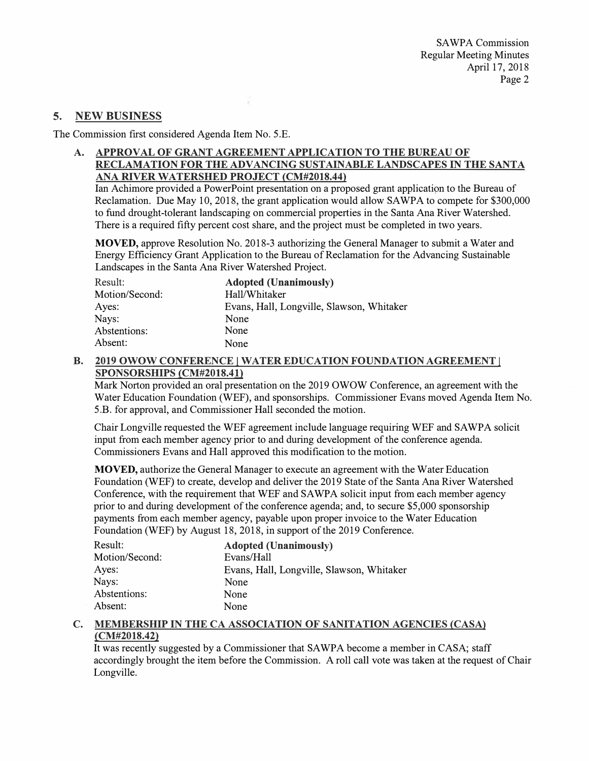### **5. NEW BUSINESS**

The Commission first considered Agenda Item No. 5.E.

**A. APPROVAL OF GRANT AGREEMENT APPLICATION TO THE BUREAU OF RECLAMATION FOR THE ADVANCING SUSTAINABLE LANDSCAPES** IN **THE SANTA ANA RIVER WATERSHED PROJECT (CM#2018.44)**

Ian Achimore provided a PowerPoint presentation on a proposed grant application to the Bureau of Reclamation. Due May 10, 2018, the grant application would allow SAWPA to compete for \$300,000 to fund drought-tolerant landscaping on commercial properties in the Santa Ana River Watershed. There is a required fifty percent cost share, and the project must be completed in two years.

**MOVED,** approve Resolution No. 2018-3 authorizing the General Manager to submit a Water and Energy Efficiency Grant Application to the Bureau of Reclamation for the Advancing Sustainable Landscapes in the Santa Ana River Watershed Project.

| Result:        | <b>Adopted (Unanimously)</b>              |
|----------------|-------------------------------------------|
| Motion/Second: | Hall/Whitaker                             |
| Ayes:          | Evans, Hall, Longville, Slawson, Whitaker |
| Nays:          | None                                      |
| Abstentions:   | None                                      |
| Absent:        | None                                      |

x

**B. 2019 OWOW CONFERENCE** I **WATER EDUCATION FOUNDATION AGREEMENT** I **SPONSORSHIPS (CM#2018.41)**

Mark Norton provided an oral presentation on the 2019 OWOW Conference, an agreement with the Water Education Foundation (WEF), and sponsorships. Commissioner Evans moved Agenda Item No. 5.B. for approval, and Commissioner Hall seconded the motion.

Chair Longville requested the WEF agreement include language requiring WEF and SAWPA solicit input from each member agency prior to and during development of the conference agenda. Commissioners Evans and Hall approved this modification to the motion.

**MOVED,** authorize the General Manager to execute an agreement with the Water Education Foundation (WEF) to create, develop and deliver the 2019 State of the Santa Ana River Watershed Conference, with the requirement that WEF and SAWPA solicit input from each member agency prior to and during development of the conference agenda; and, to secure \$5,000 sponsorship payments from each member agency, payable upon proper invoice to the Water Education Foundation (WEF) by August 18, 2018, in support of the 2019 Conference.

| Result:        | <b>Adopted (Unanimously)</b>              |
|----------------|-------------------------------------------|
| Motion/Second: | Evans/Hall                                |
| Ayes:          | Evans, Hall, Longville, Slawson, Whitaker |
| Nays:          | None                                      |
| Abstentions:   | None                                      |
| Absent:        | None                                      |

### **C. MEMBERSHIP IN THE CA ASSOCIATION OF SANITATION AGENCIES (CASA) (CM#2018.42)**

It was recently suggested by a Commissioner that SAWPA become a member in CASA; staff accordingly brought the item before the Commission. A roll call vote was taken at the request of Chair Longville.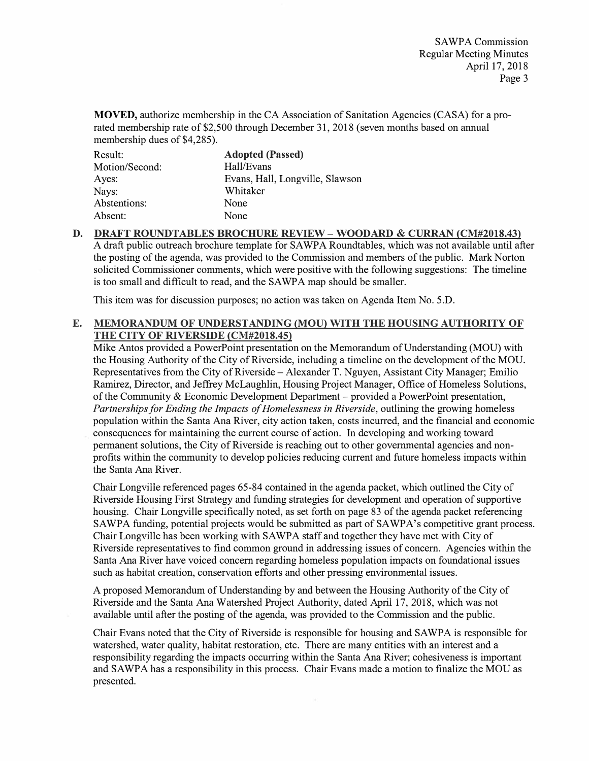**MOVED,** authorize membership in the CA Association of Sanitation Agencies (CASA) for a prorated membership rate of \$2,500 through December 31, 2018 (seven months based on annual membership dues of \$4,285).

| Result:        | <b>Adopted (Passed)</b>         |
|----------------|---------------------------------|
| Motion/Second: | Hall/Evans                      |
| Ayes:          | Evans, Hall, Longville, Slawson |
| Nays:          | Whitaker                        |
| Abstentions:   | None                            |
| Absent:        | None                            |

**D. DRAFT ROUNDTABLES BROCHURE REVIEW - WOODARD & CURRAN (CM#2018.43)** A draft public outreach brochure template for SAWPA Roundtables, which was not available until after the posting of the agenda, was provided to the Commission and members of the public. Mark Norton solicited Commissioner comments, which were positive with the following suggestions: The timeline is too small and difficult to read, and the SAWPA map should be smaller.

This item was for discussion purposes; no action was taken on Agenda Item No. 5.D.

### **E. MEMORANDUM OF UNDERSTANDING (MOU) WITH THE HOUSING AUTHORITY OF THE CITY OF RIVERSIDE (CM#2018.45)**

Mike Antos provided a PowerPoint presentation on the Memorandum of Understanding (MOU) with the Housing Authority of the City of Riverside, including a timeline on the development of the MOU. Representatives from the City of Riverside – Alexander T. Nguyen, Assistant City Manager; Emilio Ramirez, Director, and Jeffrey McLaughlin, Housing Project Manager, Office of Homeless Solutions, of the Community & Economic Development Department - provided a PowerPoint presentation, *Partnerships for Ending the Impacts of Homelessness in Riverside, outlining the growing homeless* population within the Santa Ana River, city action taken, costs incurred, and the financial and economic consequences for maintaining the current course of action. In developing and working toward permanent solutions, the City of Riverside is reaching out to other governmental agencies and nonprofits within the community to develop policies reducing current and future homeless impacts within the Santa Ana River.

Chair Longville referenced pages 65-84 contained in the agenda packet, which outlined the City of Riverside Housing First Strategy and funding strategies for development and operation of supportive housing. Chair Longville specifically noted, as set forth on page 83 of the agenda packet referencing SAWPA funding, potential projects would be submitted as part of SAWPA's competitive grant process. Chair Longville has been working with SAWPA staff and together they have met with City of Riverside representatives to find common ground in addressing issues of concern. Agencies within the Santa Ana River have voiced concern regarding homeless population impacts on foundational issues such as habitat creation, conservation efforts and other pressing environmental issues.

A proposed Memorandum of Understanding by and between the Housing Authority of the City of Riverside and the Santa Ana Watershed Project Authority, dated April 17, 2018, which was not available until after the posting of the agenda, was provided to the Commission and the public.

Chair Evans noted that the City of Riverside is responsible for housing and SAWPA is responsible for watershed, water quality, habitat restoration, etc. There are many entities with an interest and a responsibility regarding the impacts occurring within the Santa Ana River; cohesiveness is important and SA WP A has a responsibility in this process. Chair Evans made a motion to finalize the MOU as presented.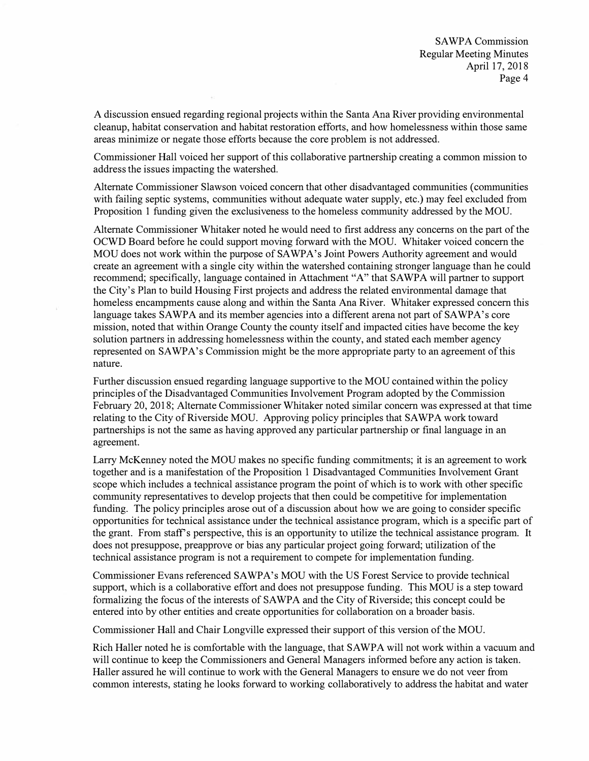A discussion ensued regarding regional projects within the Santa Ana River providing environmental cleanup, habitat conservation and habitat restoration efforts, and how homelessness within those same areas minimize or negate those efforts because the core problem is not addressed.

Commissioner Hall voiced her support of this collaborative partnership creating a common mission to address the issues impacting the watershed.

Alternate Commissioner Slawson voiced concern that other disadvantaged communities ( communities with failing septic systems, communities without adequate water supply, etc.) may feel excluded from Proposition 1 funding given the exclusiveness to the homeless community addressed by the MOU.

Alternate Commissioner Whitaker noted he would need to first address any concerns on the part of the OCWD Board before he could support moving forward with the MOU. Whitaker voiced concern the MOU does not work within the purpose of SAWPA's Joint Powers Authority agreement and would create an agreement with a single city within the watershed containing stronger language than he could recommend; specifically, language contained in Attachment "A" that SAWPA will partner to support the City's Plan to build Housing First projects and address the related environmental damage that homeless encampments cause along and within the Santa Ana River. Whitaker expressed concern this language takes SAWPA and its member agencies into a different arena not part of SAWPA's core mission, noted that within Orange County the county itself and impacted cities have become the key solution partners in addressing homelessness within the county, and stated each member agency represented on SA WPA's Commission might be the more appropriate party to an agreement of this nature.

Further discussion ensued regarding language supportive to the MOU contained within the policy principles of the Disadvantaged Communities Involvement Program adopted by the Commission February 20, 2018; Alternate Commissioner Whitaker noted similar concern was expressed at that time relating to the City of Riverside MOU. Approving policy principles that SAWPA work toward partnerships is not the same as having approved any particular partnership or final language in an agreement.

Larry McKenney noted the MOU makes no specific funding commitments; it is an agreement to work together and is a manifestation of the Proposition 1 Disadvantaged Communities Involvement Grant scope which includes a technical assistance program the point of which is to work with other specific community representatives to develop projects that then could be competitive for implementation funding. The policy principles arose out of a discussion about how we are going to consider specific opportunities for technical assistance under the technical assistance program, which is a specific part of the grant. From staff's perspective, this is an opportunity to utilize the technical assistance program. It does not presuppose, preapprove or bias any particular project going forward; utilization of the technical assistance program is not a requirement to compete for implementation funding.

Commissioner Evans referenced SAWPA's MOU with the US Forest Service to provide technical support, which is a collaborative effort and does not presuppose funding. This MOU is a step toward formalizing the focus of the interests of SAWPA and the City of Riverside; this concept could be entered into by other entities and create opportunities for collaboration on a broader basis.

Commissioner Hall and Chair Longville expressed their support of this version of the MOU.

Rich Haller noted he is comfortable with the language, that SAWPA will not work within a vacuum and will continue to keep the Commissioners and General Managers informed before any action is taken. Haller assured he will continue to work with the General Managers to ensure we do not veer from common interests, stating he looks forward to working collaboratively to address the habitat and water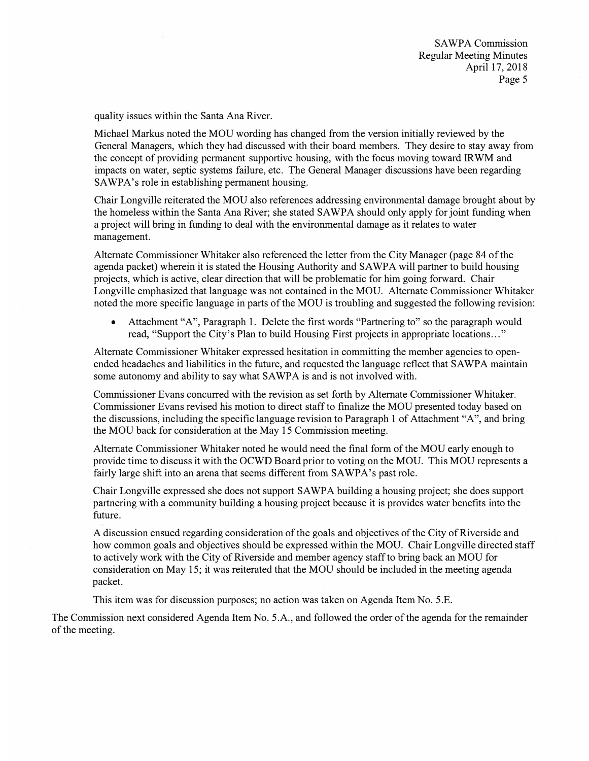SAWPA Commission Regular Meeting Minutes April 17, 2018 Page 5

quality issues within the Santa Ana River.

Michael Markus noted the MOU wording has changed from the version initially reviewed by the General Managers, which they had discussed with their board members. They desire to stay away from the concept of providing permanent supportive housing, with the focus moving toward IRWM and impacts on water, septic systems failure, etc. The General Manager discussions have been regarding SAWPA's role in establishing permanent housing.

Chair Longville reiterated the MOU also references addressing environmental damage brought about by the homeless within the Santa Ana River; she stated SAWPA should only apply for joint funding when a project will bring in funding to deal with the environmental damage as it relates to water management.

Alternate Commissioner Whitaker also referenced the letter from the City Manager (page 84 of the agenda packet) wherein it is stated the Housing Authority and SAWPA will partner to build housing projects, which is active, clear direction that will be problematic for him going forward. Chair Longville emphasized that language was not contained in the MOU. Alternate Commissioner Whitaker noted the more specific language in parts of the MOU is troubling and suggested the following revision:

• Attachment "A", Paragraph 1. Delete the first words "Partnering to" so the paragraph would read, "Support the City's Plan to build Housing First projects in appropriate locations ... "

Alternate Commissioner Whitaker expressed hesitation in committing the member agencies to openended headaches and liabilities in the future, and requested the language reflect that SAWPA maintain some autonomy and ability to say what SAWPA is and is not involved with.

Commissioner Evans concurred with the revision as set forth by Alternate Commissioner Whitaker. Commissioner Evans revised his motion to direct staff to finalize the MOU presented today based on the discussions, including the specific language revision to Paragraph 1 of Attachment "A", and bring the MOU back for consideration at the May 15 Commission meeting.

Alternate Commissioner Whitaker noted he would need the final form of the MOU early enough to provide time to discuss it with the OCWD Board prior to voting on the MOU. This MOU represents a fairly large shift into an arena that seems different from SAWPA's past role.

Chair Longville expressed she does not support SA WP A building a housing project; she does support partnering with a community building a housing project because it is provides water benefits into the future.

A discussion ensued regarding consideration of the goals and objectives of the City of Riverside and how common goals and objectives should be expressed within the MOU. Chair Longville directed staff to actively work with the City of Riverside and member agency staff to bring back an MOU for consideration on May 15; it was reiterated that the MOU should be included in the meeting agenda packet.

This item was for discussion purposes; no action was taken on Agenda Item No. 5.E.

The Commission next considered Agenda Item No. 5.A., and followed the order of the agenda for the remainder of the meeting.